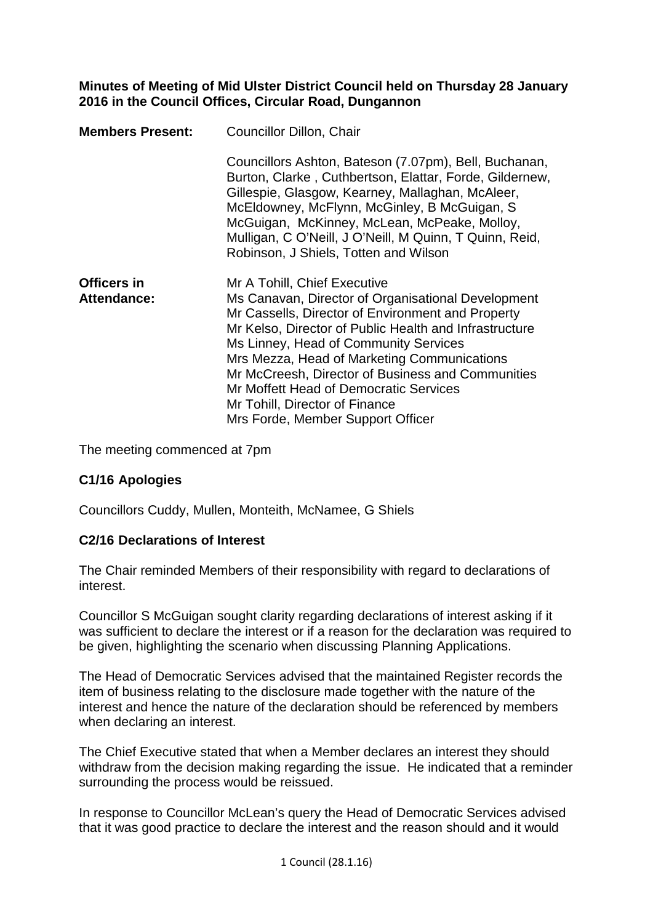## **Minutes of Meeting of Mid Ulster District Council held on Thursday 28 January 2016 in the Council Offices, Circular Road, Dungannon**

| <b>Members Present:</b>           | Councillor Dillon, Chair                                                                                                                                                                                                                                                                                                                                                                                                                                        |
|-----------------------------------|-----------------------------------------------------------------------------------------------------------------------------------------------------------------------------------------------------------------------------------------------------------------------------------------------------------------------------------------------------------------------------------------------------------------------------------------------------------------|
|                                   | Councillors Ashton, Bateson (7.07pm), Bell, Buchanan,<br>Burton, Clarke, Cuthbertson, Elattar, Forde, Gildernew,<br>Gillespie, Glasgow, Kearney, Mallaghan, McAleer,<br>McEldowney, McFlynn, McGinley, B McGuigan, S<br>McGuigan, McKinney, McLean, McPeake, Molloy,<br>Mulligan, C O'Neill, J O'Neill, M Quinn, T Quinn, Reid,<br>Robinson, J Shiels, Totten and Wilson                                                                                        |
| <b>Officers in</b><br>Attendance: | Mr A Tohill, Chief Executive<br>Ms Canavan, Director of Organisational Development<br>Mr Cassells, Director of Environment and Property<br>Mr Kelso, Director of Public Health and Infrastructure<br>Ms Linney, Head of Community Services<br>Mrs Mezza, Head of Marketing Communications<br>Mr McCreesh, Director of Business and Communities<br>Mr Moffett Head of Democratic Services<br>Mr Tohill, Director of Finance<br>Mrs Forde, Member Support Officer |

The meeting commenced at 7pm

# **C1/16 Apologies**

Councillors Cuddy, Mullen, Monteith, McNamee, G Shiels

# **C2/16 Declarations of Interest**

The Chair reminded Members of their responsibility with regard to declarations of interest.

Councillor S McGuigan sought clarity regarding declarations of interest asking if it was sufficient to declare the interest or if a reason for the declaration was required to be given, highlighting the scenario when discussing Planning Applications.

The Head of Democratic Services advised that the maintained Register records the item of business relating to the disclosure made together with the nature of the interest and hence the nature of the declaration should be referenced by members when declaring an interest.

The Chief Executive stated that when a Member declares an interest they should withdraw from the decision making regarding the issue. He indicated that a reminder surrounding the process would be reissued.

In response to Councillor McLean's query the Head of Democratic Services advised that it was good practice to declare the interest and the reason should and it would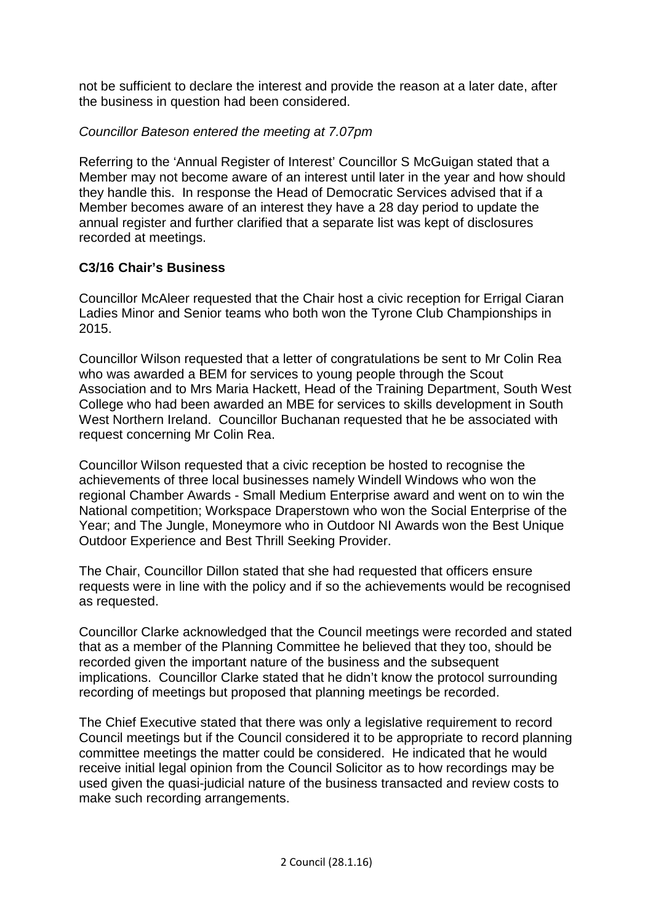not be sufficient to declare the interest and provide the reason at a later date, after the business in question had been considered.

# *Councillor Bateson entered the meeting at 7.07pm*

Referring to the 'Annual Register of Interest' Councillor S McGuigan stated that a Member may not become aware of an interest until later in the year and how should they handle this. In response the Head of Democratic Services advised that if a Member becomes aware of an interest they have a 28 day period to update the annual register and further clarified that a separate list was kept of disclosures recorded at meetings.

# **C3/16 Chair's Business**

Councillor McAleer requested that the Chair host a civic reception for Errigal Ciaran Ladies Minor and Senior teams who both won the Tyrone Club Championships in 2015.

Councillor Wilson requested that a letter of congratulations be sent to Mr Colin Rea who was awarded a BEM for services to young people through the Scout Association and to Mrs Maria Hackett, Head of the Training Department, South West College who had been awarded an MBE for services to skills development in South West Northern Ireland. Councillor Buchanan requested that he be associated with request concerning Mr Colin Rea.

Councillor Wilson requested that a civic reception be hosted to recognise the achievements of three local businesses namely Windell Windows who won the regional Chamber Awards - Small Medium Enterprise award and went on to win the National competition; Workspace Draperstown who won the Social Enterprise of the Year; and The Jungle, Moneymore who in Outdoor NI Awards won the Best Unique Outdoor Experience and Best Thrill Seeking Provider.

The Chair, Councillor Dillon stated that she had requested that officers ensure requests were in line with the policy and if so the achievements would be recognised as requested.

Councillor Clarke acknowledged that the Council meetings were recorded and stated that as a member of the Planning Committee he believed that they too, should be recorded given the important nature of the business and the subsequent implications. Councillor Clarke stated that he didn't know the protocol surrounding recording of meetings but proposed that planning meetings be recorded.

The Chief Executive stated that there was only a legislative requirement to record Council meetings but if the Council considered it to be appropriate to record planning committee meetings the matter could be considered. He indicated that he would receive initial legal opinion from the Council Solicitor as to how recordings may be used given the quasi-judicial nature of the business transacted and review costs to make such recording arrangements.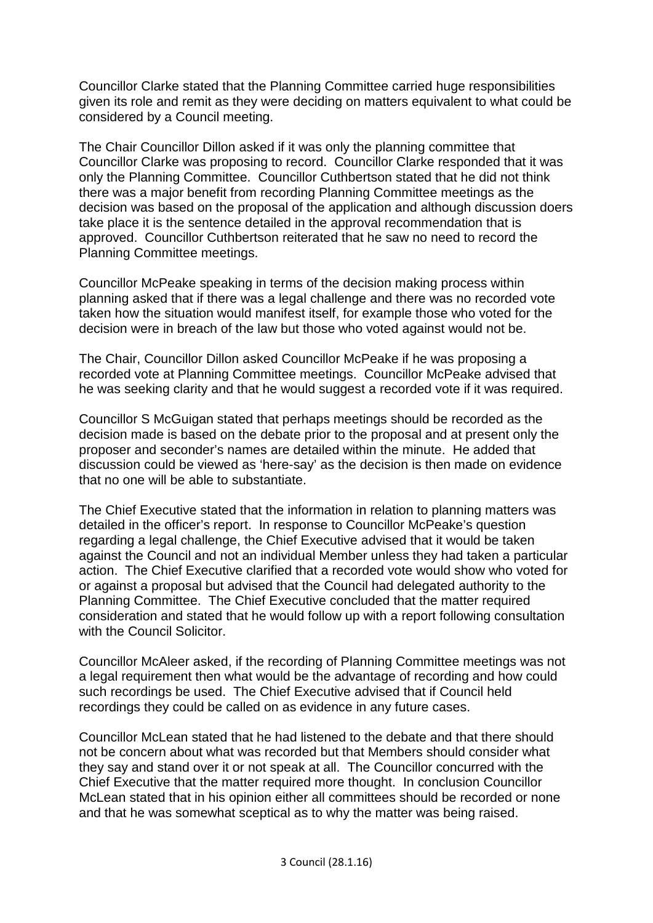Councillor Clarke stated that the Planning Committee carried huge responsibilities given its role and remit as they were deciding on matters equivalent to what could be considered by a Council meeting.

The Chair Councillor Dillon asked if it was only the planning committee that Councillor Clarke was proposing to record. Councillor Clarke responded that it was only the Planning Committee. Councillor Cuthbertson stated that he did not think there was a major benefit from recording Planning Committee meetings as the decision was based on the proposal of the application and although discussion doers take place it is the sentence detailed in the approval recommendation that is approved. Councillor Cuthbertson reiterated that he saw no need to record the Planning Committee meetings.

Councillor McPeake speaking in terms of the decision making process within planning asked that if there was a legal challenge and there was no recorded vote taken how the situation would manifest itself, for example those who voted for the decision were in breach of the law but those who voted against would not be.

The Chair, Councillor Dillon asked Councillor McPeake if he was proposing a recorded vote at Planning Committee meetings. Councillor McPeake advised that he was seeking clarity and that he would suggest a recorded vote if it was required.

Councillor S McGuigan stated that perhaps meetings should be recorded as the decision made is based on the debate prior to the proposal and at present only the proposer and seconder's names are detailed within the minute. He added that discussion could be viewed as 'here-say' as the decision is then made on evidence that no one will be able to substantiate.

The Chief Executive stated that the information in relation to planning matters was detailed in the officer's report. In response to Councillor McPeake's question regarding a legal challenge, the Chief Executive advised that it would be taken against the Council and not an individual Member unless they had taken a particular action. The Chief Executive clarified that a recorded vote would show who voted for or against a proposal but advised that the Council had delegated authority to the Planning Committee. The Chief Executive concluded that the matter required consideration and stated that he would follow up with a report following consultation with the Council Solicitor.

Councillor McAleer asked, if the recording of Planning Committee meetings was not a legal requirement then what would be the advantage of recording and how could such recordings be used. The Chief Executive advised that if Council held recordings they could be called on as evidence in any future cases.

Councillor McLean stated that he had listened to the debate and that there should not be concern about what was recorded but that Members should consider what they say and stand over it or not speak at all. The Councillor concurred with the Chief Executive that the matter required more thought. In conclusion Councillor McLean stated that in his opinion either all committees should be recorded or none and that he was somewhat sceptical as to why the matter was being raised.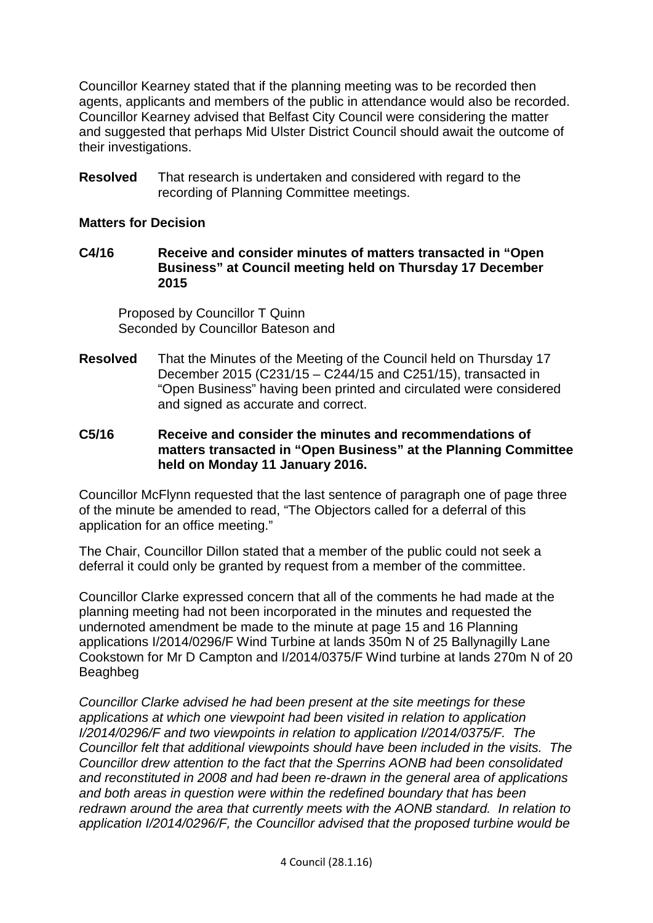Councillor Kearney stated that if the planning meeting was to be recorded then agents, applicants and members of the public in attendance would also be recorded. Councillor Kearney advised that Belfast City Council were considering the matter and suggested that perhaps Mid Ulster District Council should await the outcome of their investigations.

**Resolved** That research is undertaken and considered with regard to the recording of Planning Committee meetings.

## **Matters for Decision**

**C4/16 Receive and consider minutes of matters transacted in "Open Business" at Council meeting held on Thursday 17 December 2015** 

Proposed by Councillor T Quinn Seconded by Councillor Bateson and

**Resolved** That the Minutes of the Meeting of the Council held on Thursday 17 December 2015 (C231/15 – C244/15 and C251/15), transacted in "Open Business" having been printed and circulated were considered and signed as accurate and correct.

## **C5/16 Receive and consider the minutes and recommendations of matters transacted in "Open Business" at the Planning Committee held on Monday 11 January 2016.**

Councillor McFlynn requested that the last sentence of paragraph one of page three of the minute be amended to read, "The Objectors called for a deferral of this application for an office meeting."

The Chair, Councillor Dillon stated that a member of the public could not seek a deferral it could only be granted by request from a member of the committee.

Councillor Clarke expressed concern that all of the comments he had made at the planning meeting had not been incorporated in the minutes and requested the undernoted amendment be made to the minute at page 15 and 16 Planning applications I/2014/0296/F Wind Turbine at lands 350m N of 25 Ballynagilly Lane Cookstown for Mr D Campton and I/2014/0375/F Wind turbine at lands 270m N of 20 Beaghbeg

*Councillor Clarke advised he had been present at the site meetings for these applications at which one viewpoint had been visited in relation to application I/2014/0296/F and two viewpoints in relation to application I/2014/0375/F. The Councillor felt that additional viewpoints should have been included in the visits. The Councillor drew attention to the fact that the Sperrins AONB had been consolidated and reconstituted in 2008 and had been re-drawn in the general area of applications and both areas in question were within the redefined boundary that has been redrawn around the area that currently meets with the AONB standard. In relation to application I/2014/0296/F, the Councillor advised that the proposed turbine would be*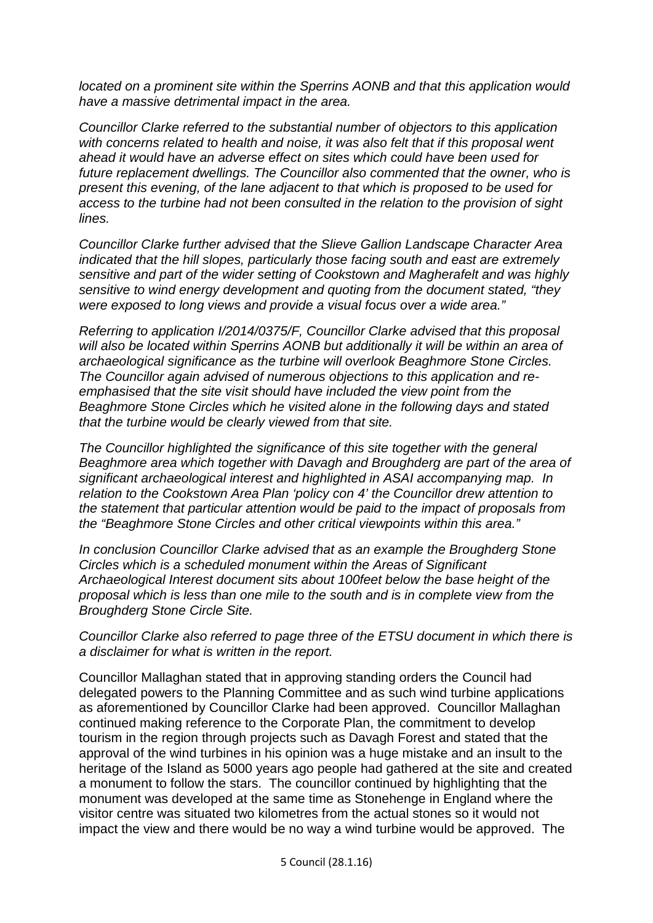*located on a prominent site within the Sperrins AONB and that this application would have a massive detrimental impact in the area.* 

*Councillor Clarke referred to the substantial number of objectors to this application with concerns related to health and noise, it was also felt that if this proposal went ahead it would have an adverse effect on sites which could have been used for future replacement dwellings. The Councillor also commented that the owner, who is present this evening, of the lane adjacent to that which is proposed to be used for access to the turbine had not been consulted in the relation to the provision of sight lines.* 

*Councillor Clarke further advised that the Slieve Gallion Landscape Character Area indicated that the hill slopes, particularly those facing south and east are extremely sensitive and part of the wider setting of Cookstown and Magherafelt and was highly sensitive to wind energy development and quoting from the document stated, "they were exposed to long views and provide a visual focus over a wide area."*

*Referring to application I/2014/0375/F, Councillor Clarke advised that this proposal will also be located within Sperrins AONB but additionally it will be within an area of archaeological significance as the turbine will overlook Beaghmore Stone Circles. The Councillor again advised of numerous objections to this application and reemphasised that the site visit should have included the view point from the Beaghmore Stone Circles which he visited alone in the following days and stated that the turbine would be clearly viewed from that site.* 

*The Councillor highlighted the significance of this site together with the general Beaghmore area which together with Davagh and Broughderg are part of the area of significant archaeological interest and highlighted in ASAI accompanying map. In relation to the Cookstown Area Plan 'policy con 4' the Councillor drew attention to the statement that particular attention would be paid to the impact of proposals from the "Beaghmore Stone Circles and other critical viewpoints within this area."*

*In conclusion Councillor Clarke advised that as an example the Broughderg Stone Circles which is a scheduled monument within the Areas of Significant Archaeological Interest document sits about 100feet below the base height of the proposal which is less than one mile to the south and is in complete view from the Broughderg Stone Circle Site.* 

*Councillor Clarke also referred to page three of the ETSU document in which there is a disclaimer for what is written in the report.*

Councillor Mallaghan stated that in approving standing orders the Council had delegated powers to the Planning Committee and as such wind turbine applications as aforementioned by Councillor Clarke had been approved. Councillor Mallaghan continued making reference to the Corporate Plan, the commitment to develop tourism in the region through projects such as Davagh Forest and stated that the approval of the wind turbines in his opinion was a huge mistake and an insult to the heritage of the Island as 5000 years ago people had gathered at the site and created a monument to follow the stars. The councillor continued by highlighting that the monument was developed at the same time as Stonehenge in England where the visitor centre was situated two kilometres from the actual stones so it would not impact the view and there would be no way a wind turbine would be approved. The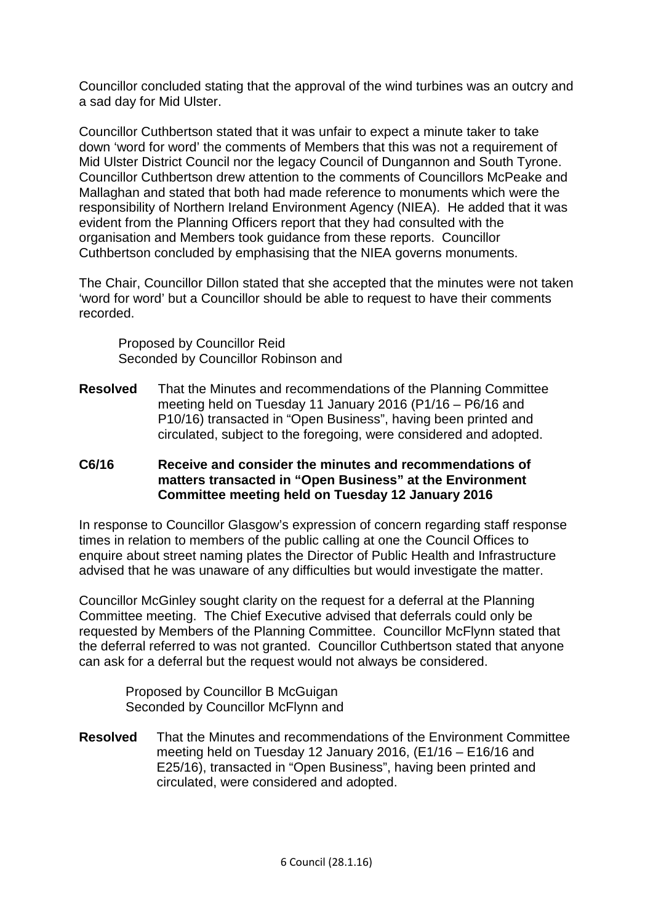Councillor concluded stating that the approval of the wind turbines was an outcry and a sad day for Mid Ulster.

Councillor Cuthbertson stated that it was unfair to expect a minute taker to take down 'word for word' the comments of Members that this was not a requirement of Mid Ulster District Council nor the legacy Council of Dungannon and South Tyrone. Councillor Cuthbertson drew attention to the comments of Councillors McPeake and Mallaghan and stated that both had made reference to monuments which were the responsibility of Northern Ireland Environment Agency (NIEA). He added that it was evident from the Planning Officers report that they had consulted with the organisation and Members took guidance from these reports. Councillor Cuthbertson concluded by emphasising that the NIEA governs monuments.

The Chair, Councillor Dillon stated that she accepted that the minutes were not taken 'word for word' but a Councillor should be able to request to have their comments recorded.

Proposed by Councillor Reid Seconded by Councillor Robinson and

**Resolved** That the Minutes and recommendations of the Planning Committee meeting held on Tuesday 11 January 2016 (P1/16 – P6/16 and P10/16) transacted in "Open Business", having been printed and circulated, subject to the foregoing, were considered and adopted.

## **C6/16 Receive and consider the minutes and recommendations of matters transacted in "Open Business" at the Environment Committee meeting held on Tuesday 12 January 2016**

In response to Councillor Glasgow's expression of concern regarding staff response times in relation to members of the public calling at one the Council Offices to enquire about street naming plates the Director of Public Health and Infrastructure advised that he was unaware of any difficulties but would investigate the matter.

Councillor McGinley sought clarity on the request for a deferral at the Planning Committee meeting. The Chief Executive advised that deferrals could only be requested by Members of the Planning Committee. Councillor McFlynn stated that the deferral referred to was not granted. Councillor Cuthbertson stated that anyone can ask for a deferral but the request would not always be considered.

Proposed by Councillor B McGuigan Seconded by Councillor McFlynn and

**Resolved** That the Minutes and recommendations of the Environment Committee meeting held on Tuesday 12 January 2016, (E1/16 – E16/16 and E25/16), transacted in "Open Business", having been printed and circulated, were considered and adopted.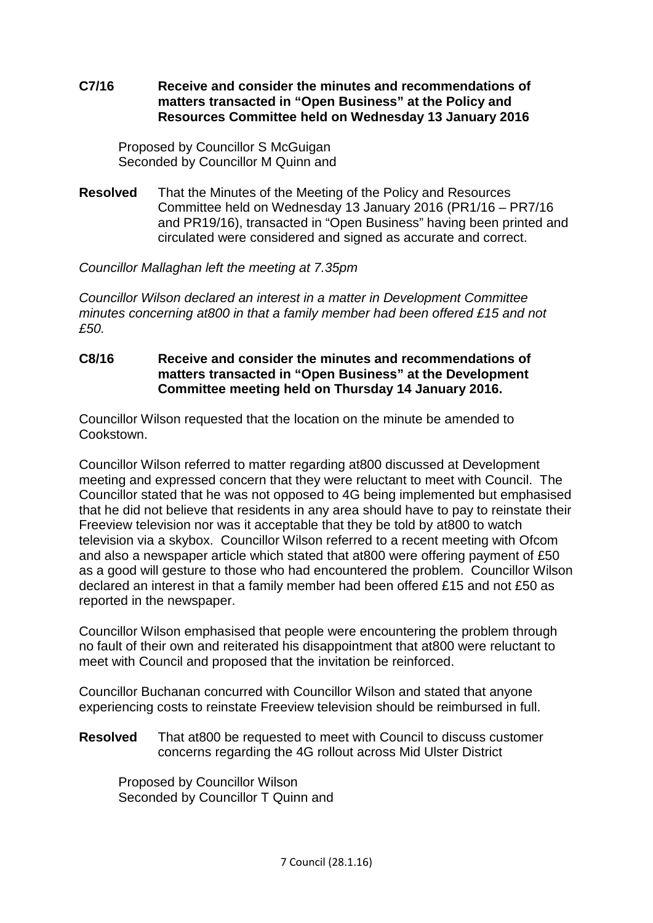## **C7/16 Receive and consider the minutes and recommendations of matters transacted in "Open Business" at the Policy and Resources Committee held on Wednesday 13 January 2016**

Proposed by Councillor S McGuigan Seconded by Councillor M Quinn and

**Resolved** That the Minutes of the Meeting of the Policy and Resources Committee held on Wednesday 13 January 2016 (PR1/16 – PR7/16 and PR19/16), transacted in "Open Business" having been printed and circulated were considered and signed as accurate and correct.

## *Councillor Mallaghan left the meeting at 7.35pm*

*Councillor Wilson declared an interest in a matter in Development Committee minutes concerning at800 in that a family member had been offered £15 and not £50.* 

## **C8/16 Receive and consider the minutes and recommendations of matters transacted in "Open Business" at the Development Committee meeting held on Thursday 14 January 2016.**

Councillor Wilson requested that the location on the minute be amended to Cookstown.

Councillor Wilson referred to matter regarding at800 discussed at Development meeting and expressed concern that they were reluctant to meet with Council. The Councillor stated that he was not opposed to 4G being implemented but emphasised that he did not believe that residents in any area should have to pay to reinstate their Freeview television nor was it acceptable that they be told by at800 to watch television via a skybox. Councillor Wilson referred to a recent meeting with Ofcom and also a newspaper article which stated that at800 were offering payment of £50 as a good will gesture to those who had encountered the problem. Councillor Wilson declared an interest in that a family member had been offered £15 and not £50 as reported in the newspaper.

Councillor Wilson emphasised that people were encountering the problem through no fault of their own and reiterated his disappointment that at800 were reluctant to meet with Council and proposed that the invitation be reinforced.

Councillor Buchanan concurred with Councillor Wilson and stated that anyone experiencing costs to reinstate Freeview television should be reimbursed in full.

**Resolved** That at800 be requested to meet with Council to discuss customer concerns regarding the 4G rollout across Mid Ulster District

Proposed by Councillor Wilson Seconded by Councillor T Quinn and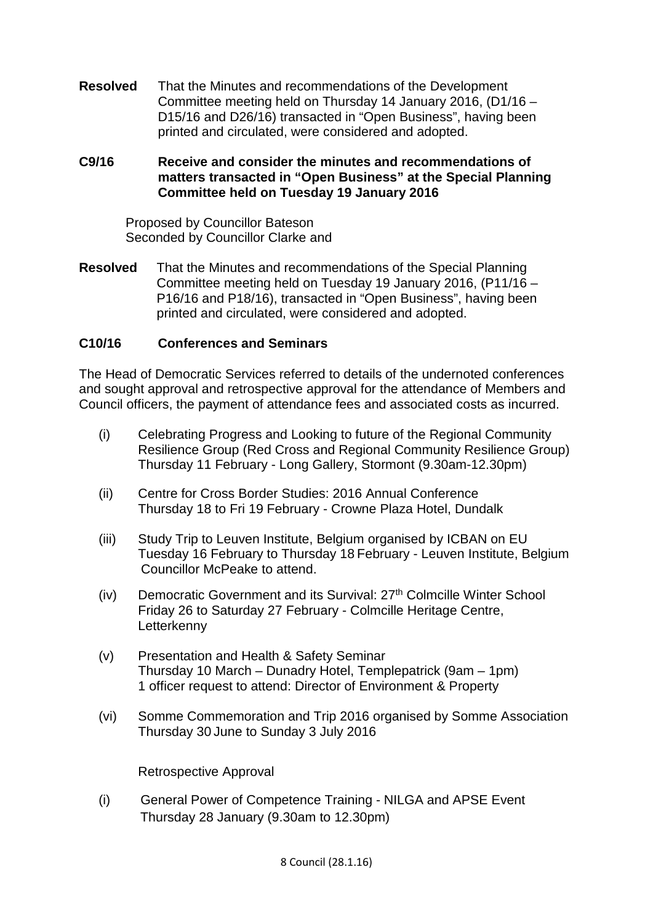**Resolved** That the Minutes and recommendations of the Development Committee meeting held on Thursday 14 January 2016, (D1/16 – D15/16 and D26/16) transacted in "Open Business", having been printed and circulated, were considered and adopted.

## **C9/16 Receive and consider the minutes and recommendations of matters transacted in "Open Business" at the Special Planning Committee held on Tuesday 19 January 2016**

Proposed by Councillor Bateson Seconded by Councillor Clarke and

**Resolved** That the Minutes and recommendations of the Special Planning Committee meeting held on Tuesday 19 January 2016, (P11/16 – P16/16 and P18/16), transacted in "Open Business", having been printed and circulated, were considered and adopted.

## **C10/16 Conferences and Seminars**

The Head of Democratic Services referred to details of the undernoted conferences and sought approval and retrospective approval for the attendance of Members and Council officers, the payment of attendance fees and associated costs as incurred.

- (i) Celebrating Progress and Looking to future of the Regional Community Resilience Group (Red Cross and Regional Community Resilience Group) Thursday 11 February - Long Gallery, Stormont (9.30am-12.30pm)
- (ii) Centre for Cross Border Studies: 2016 Annual Conference Thursday 18 to Fri 19 February - Crowne Plaza Hotel, Dundalk
- (iii) Study Trip to Leuven Institute, Belgium organised by ICBAN on EU Tuesday 16 February to Thursday 18 February - Leuven Institute, Belgium Councillor McPeake to attend.
- $(iv)$  Democratic Government and its Survival:  $27<sup>th</sup>$  Colmcille Winter School Friday 26 to Saturday 27 February - Colmcille Heritage Centre, **Letterkenny**
- (v) Presentation and Health & Safety Seminar Thursday 10 March – Dunadry Hotel, Templepatrick (9am – 1pm) 1 officer request to attend: Director of Environment & Property
- (vi) Somme Commemoration and Trip 2016 organised by Somme Association Thursday 30 June to Sunday 3 July 2016

Retrospective Approval

(i) General Power of Competence Training - NILGA and APSE Event Thursday 28 January (9.30am to 12.30pm)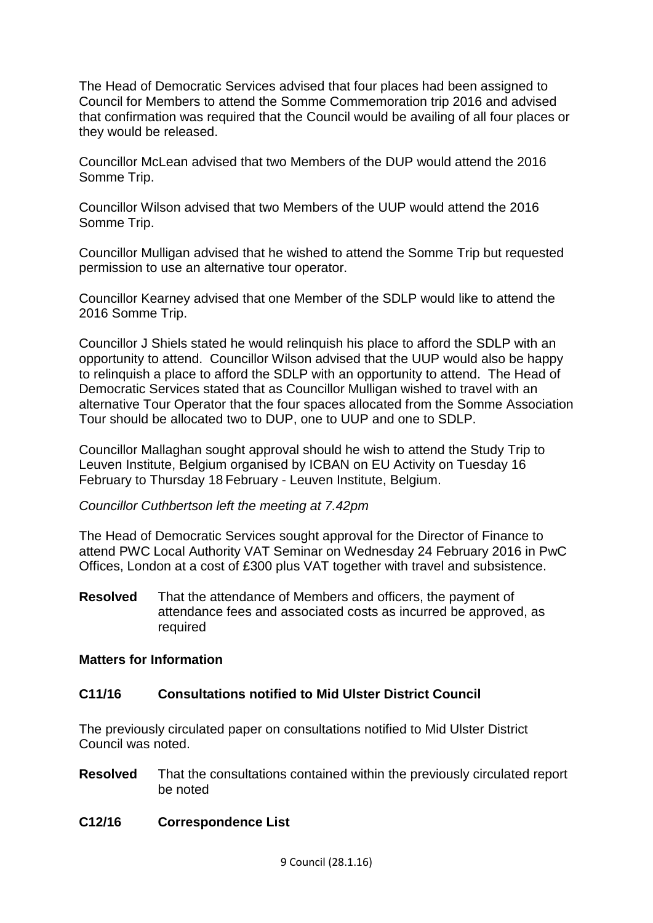The Head of Democratic Services advised that four places had been assigned to Council for Members to attend the Somme Commemoration trip 2016 and advised that confirmation was required that the Council would be availing of all four places or they would be released.

Councillor McLean advised that two Members of the DUP would attend the 2016 Somme Trip.

Councillor Wilson advised that two Members of the UUP would attend the 2016 Somme Trip.

Councillor Mulligan advised that he wished to attend the Somme Trip but requested permission to use an alternative tour operator.

Councillor Kearney advised that one Member of the SDLP would like to attend the 2016 Somme Trip.

Councillor J Shiels stated he would relinquish his place to afford the SDLP with an opportunity to attend. Councillor Wilson advised that the UUP would also be happy to relinquish a place to afford the SDLP with an opportunity to attend. The Head of Democratic Services stated that as Councillor Mulligan wished to travel with an alternative Tour Operator that the four spaces allocated from the Somme Association Tour should be allocated two to DUP, one to UUP and one to SDLP.

Councillor Mallaghan sought approval should he wish to attend the Study Trip to Leuven Institute, Belgium organised by ICBAN on EU Activity on Tuesday 16 February to Thursday 18 February - Leuven Institute, Belgium.

## *Councillor Cuthbertson left the meeting at 7.42pm*

The Head of Democratic Services sought approval for the Director of Finance to attend PWC Local Authority VAT Seminar on Wednesday 24 February 2016 in PwC Offices, London at a cost of £300 plus VAT together with travel and subsistence.

**Resolved** That the attendance of Members and officers, the payment of attendance fees and associated costs as incurred be approved, as required

## **Matters for Information**

## **C11/16 Consultations notified to Mid Ulster District Council**

The previously circulated paper on consultations notified to Mid Ulster District Council was noted.

**Resolved** That the consultations contained within the previously circulated report be noted

## **C12/16 Correspondence List**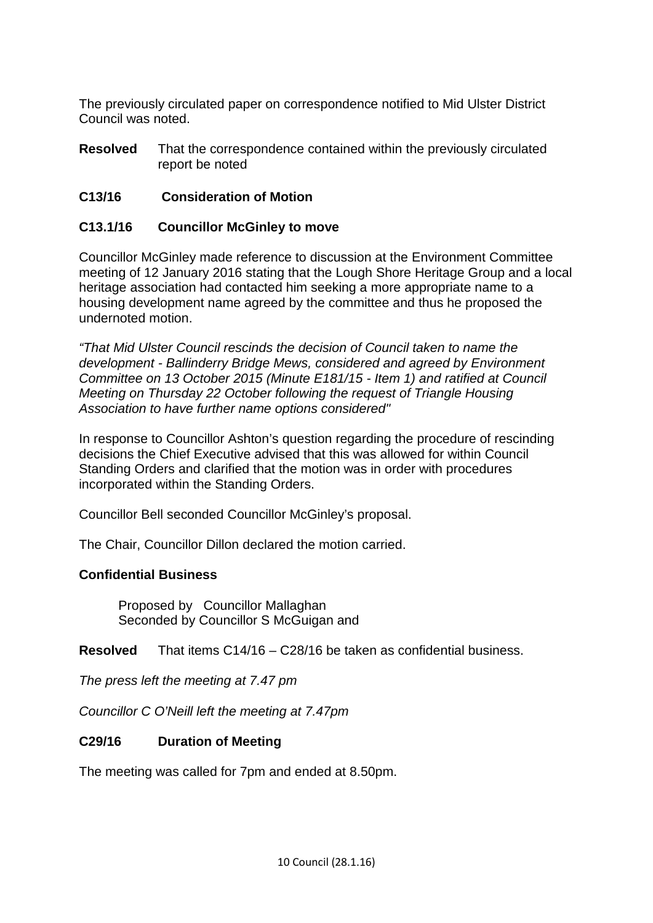The previously circulated paper on correspondence notified to Mid Ulster District Council was noted.

**Resolved** That the correspondence contained within the previously circulated report be noted

# **C13/16 Consideration of Motion**

## **C13.1/16 Councillor McGinley to move**

Councillor McGinley made reference to discussion at the Environment Committee meeting of 12 January 2016 stating that the Lough Shore Heritage Group and a local heritage association had contacted him seeking a more appropriate name to a housing development name agreed by the committee and thus he proposed the undernoted motion.

*"That Mid Ulster Council rescinds the decision of Council taken to name the development - Ballinderry Bridge Mews, considered and agreed by Environment Committee on 13 October 2015 (Minute E181/15 - Item 1) and ratified at Council Meeting on Thursday 22 October following the request of Triangle Housing Association to have further name options considered"*

In response to Councillor Ashton's question regarding the procedure of rescinding decisions the Chief Executive advised that this was allowed for within Council Standing Orders and clarified that the motion was in order with procedures incorporated within the Standing Orders.

Councillor Bell seconded Councillor McGinley's proposal.

The Chair, Councillor Dillon declared the motion carried.

## **Confidential Business**

Proposed by Councillor Mallaghan Seconded by Councillor S McGuigan and

**Resolved** That items C14/16 – C28/16 be taken as confidential business.

*The press left the meeting at 7.47 pm*

*Councillor C O'Neill left the meeting at 7.47pm*

## **C29/16 Duration of Meeting**

The meeting was called for 7pm and ended at 8.50pm.